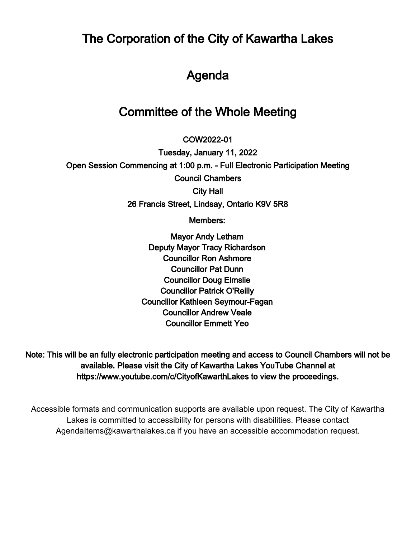The Corporation of the City of Kawartha Lakes

# Agenda

# Committee of the Whole Meeting

 $\overline{\phantom{a}}$ COW2022-01

Tuesday, January 11, 2022 Open Session Commencing at 1:00 p.m. - Full Electronic Participation Meeting Council Chambers City Hall 26 Francis Street, Lindsay, Ontario K9V 5R8

Members:

Mayor Andy Letham Deputy Mayor Tracy Richardson Councillor Ron Ashmore Councillor Pat Dunn Councillor Doug Elmslie Councillor Patrick O'Reilly Councillor Kathleen Seymour-Fagan Councillor Andrew Veale Councillor Emmett Yeo

Note: This will be an fully electronic participation meeting and access to Council Chambers will not be available. Please visit the City of Kawartha Lakes YouTube Channel at https://www.youtube.com/c/CityofKawarthLakes to view the proceedings.

Accessible formats and communication supports are available upon request. The City of Kawartha Lakes is committed to accessibility for persons with disabilities. Please contact AgendaItems@kawarthalakes.ca if you have an accessible accommodation request.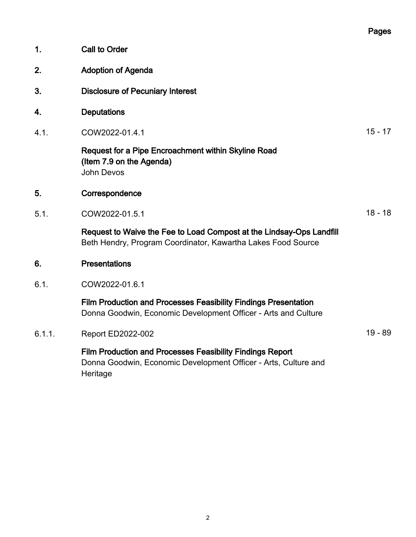|        |                                                                                                                                                 | Pages     |
|--------|-------------------------------------------------------------------------------------------------------------------------------------------------|-----------|
| 1.     | <b>Call to Order</b>                                                                                                                            |           |
| 2.     | <b>Adoption of Agenda</b>                                                                                                                       |           |
| 3.     | <b>Disclosure of Pecuniary Interest</b>                                                                                                         |           |
| 4.     | <b>Deputations</b>                                                                                                                              |           |
| 4.1.   | COW2022-01.4.1                                                                                                                                  | $15 - 17$ |
|        | Request for a Pipe Encroachment within Skyline Road<br>(Item 7.9 on the Agenda)<br><b>John Devos</b>                                            |           |
| 5.     | Correspondence                                                                                                                                  |           |
| 5.1.   | COW2022-01.5.1                                                                                                                                  | $18 - 18$ |
|        | Request to Waive the Fee to Load Compost at the Lindsay-Ops Landfill<br>Beth Hendry, Program Coordinator, Kawartha Lakes Food Source            |           |
| 6.     | <b>Presentations</b>                                                                                                                            |           |
| 6.1.   | COW2022-01.6.1                                                                                                                                  |           |
|        | Film Production and Processes Feasibility Findings Presentation<br>Donna Goodwin, Economic Development Officer - Arts and Culture               |           |
| 6.1.1. | <b>Report ED2022-002</b>                                                                                                                        | $19 - 89$ |
|        | <b>Film Production and Processes Feasibility Findings Report</b><br>Donna Goodwin, Economic Development Officer - Arts, Culture and<br>Heritage |           |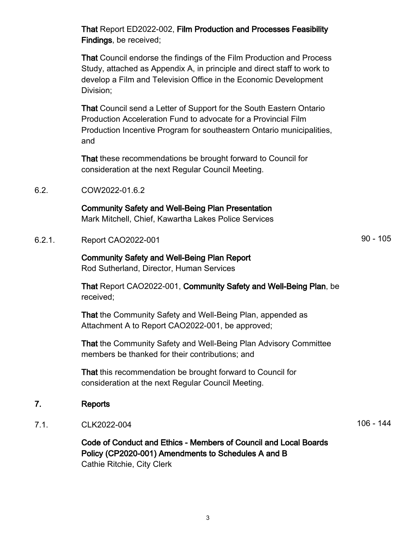That Report ED2022-002, Film Production and Processes Feasibility Findings, be received;

That Council endorse the findings of the Film Production and Process Study, attached as Appendix A, in principle and direct staff to work to develop a Film and Television Office in the Economic Development Division;

That Council send a Letter of Support for the South Eastern Ontario Production Acceleration Fund to advocate for a Provincial Film Production Incentive Program for southeastern Ontario municipalities, and

That these recommendations be brought forward to Council for consideration at the next Regular Council Meeting.

6.2. COW2022-01.6.2

#### Community Safety and Well-Being Plan Presentation

Mark Mitchell, Chief, Kawartha Lakes Police Services

6.2.1. Report CAO2022-001 90 - 105

Community Safety and Well-Being Plan Report Rod Sutherland, Director, Human Services

That Report CAO2022-001, Community Safety and Well-Being Plan, be received;

That the Community Safety and Well-Being Plan, appended as Attachment A to Report CAO2022-001, be approved;

That the Community Safety and Well-Being Plan Advisory Committee members be thanked for their contributions; and

That this recommendation be brought forward to Council for consideration at the next Regular Council Meeting.

#### 7. Reports

7.1. CLK2022-004 106 - 144

Code of Conduct and Ethics - Members of Council and Local Boards Policy (CP2020-001) Amendments to Schedules A and B Cathie Ritchie, City Clerk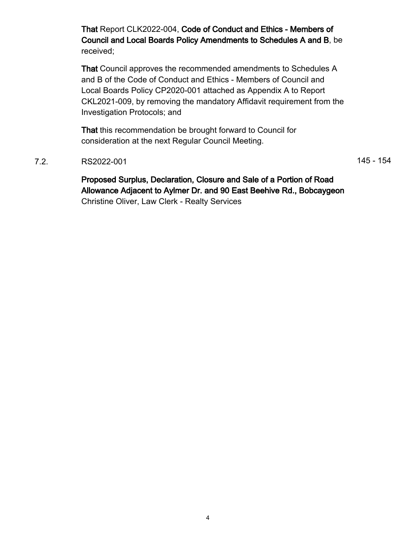That Report CLK2022-004, Code of Conduct and Ethics - Members of Council and Local Boards Policy Amendments to Schedules A and B, be received;

That Council approves the recommended amendments to Schedules A and B of the Code of Conduct and Ethics - Members of Council and Local Boards Policy CP2020-001 attached as Appendix A to Report CKL2021-009, by removing the mandatory Affidavit requirement from the Investigation Protocols; and

That this recommendation be brought forward to Council for consideration at the next Regular Council Meeting.

7.2. RS2022-001 RS2022-001

Proposed Surplus, Declaration, Closure and Sale of a Portion of Road Allowance Adjacent to Aylmer Dr. and 90 East Beehive Rd., Bobcaygeon Christine Oliver, Law Clerk - Realty Services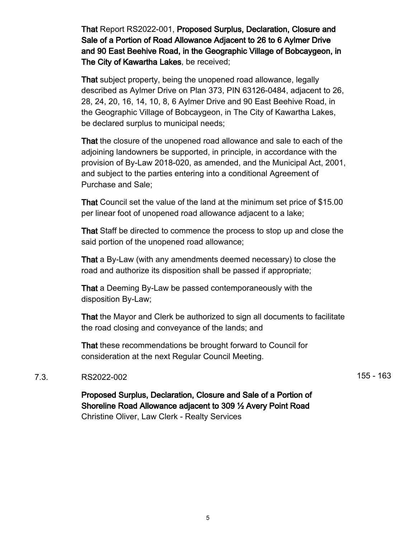That Report RS2022-001, Proposed Surplus, Declaration, Closure and Sale of a Portion of Road Allowance Adjacent to 26 to 6 Aylmer Drive and 90 East Beehive Road, in the Geographic Village of Bobcaygeon, in The City of Kawartha Lakes, be received;

That subject property, being the unopened road allowance, legally described as Aylmer Drive on Plan 373, PIN 63126-0484, adjacent to 26, 28, 24, 20, 16, 14, 10, 8, 6 Aylmer Drive and 90 East Beehive Road, in the Geographic Village of Bobcaygeon, in The City of Kawartha Lakes, be declared surplus to municipal needs;

That the closure of the unopened road allowance and sale to each of the adjoining landowners be supported, in principle, in accordance with the provision of By-Law 2018-020, as amended, and the Municipal Act, 2001, and subject to the parties entering into a conditional Agreement of Purchase and Sale;

That Council set the value of the land at the minimum set price of \$15.00 per linear foot of unopened road allowance adjacent to a lake;

That Staff be directed to commence the process to stop up and close the said portion of the unopened road allowance;

That a By-Law (with any amendments deemed necessary) to close the road and authorize its disposition shall be passed if appropriate;

That a Deeming By-Law be passed contemporaneously with the disposition By-Law;

That the Mayor and Clerk be authorized to sign all documents to facilitate the road closing and conveyance of the lands; and

That these recommendations be brought forward to Council for consideration at the next Regular Council Meeting.

#### 7.3. RS2022-002 155 - 163

Proposed Surplus, Declaration, Closure and Sale of a Portion of Shoreline Road Allowance adjacent to 309 ½ Avery Point Road Christine Oliver, Law Clerk - Realty Services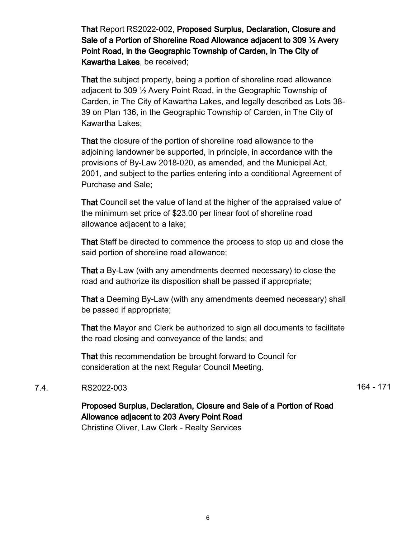That Report RS2022-002, Proposed Surplus, Declaration, Closure and Sale of a Portion of Shoreline Road Allowance adjacent to 309 ½ Avery Point Road, in the Geographic Township of Carden, in The City of Kawartha Lakes, be received;

That the subject property, being a portion of shoreline road allowance adjacent to 309 ½ Avery Point Road, in the Geographic Township of Carden, in The City of Kawartha Lakes, and legally described as Lots 38- 39 on Plan 136, in the Geographic Township of Carden, in The City of Kawartha Lakes;

That the closure of the portion of shoreline road allowance to the adjoining landowner be supported, in principle, in accordance with the provisions of By-Law 2018-020, as amended, and the Municipal Act, 2001, and subject to the parties entering into a conditional Agreement of Purchase and Sale;

That Council set the value of land at the higher of the appraised value of the minimum set price of \$23.00 per linear foot of shoreline road allowance adjacent to a lake;

That Staff be directed to commence the process to stop up and close the said portion of shoreline road allowance;

That a By-Law (with any amendments deemed necessary) to close the road and authorize its disposition shall be passed if appropriate;

That a Deeming By-Law (with any amendments deemed necessary) shall be passed if appropriate;

That the Mayor and Clerk be authorized to sign all documents to facilitate the road closing and conveyance of the lands; and

That this recommendation be brought forward to Council for consideration at the next Regular Council Meeting.

#### 7.4. RS2022-003 200 164 - 171

## Proposed Surplus, Declaration, Closure and Sale of a Portion of Road Allowance adjacent to 203 Avery Point Road

Christine Oliver, Law Clerk - Realty Services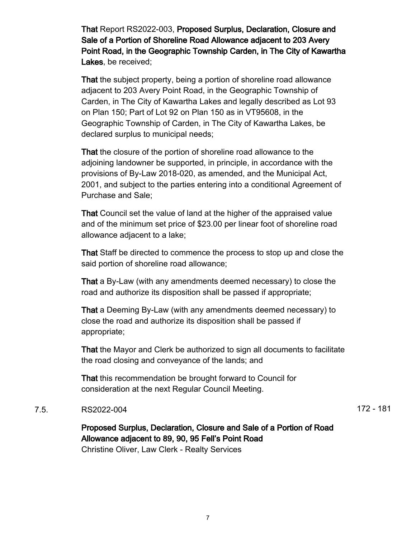That Report RS2022-003, Proposed Surplus, Declaration, Closure and Sale of a Portion of Shoreline Road Allowance adjacent to 203 Avery Point Road, in the Geographic Township Carden, in The City of Kawartha Lakes, be received;

That the subject property, being a portion of shoreline road allowance adjacent to 203 Avery Point Road, in the Geographic Township of Carden, in The City of Kawartha Lakes and legally described as Lot 93 on Plan 150; Part of Lot 92 on Plan 150 as in VT95608, in the Geographic Township of Carden, in The City of Kawartha Lakes, be declared surplus to municipal needs;

That the closure of the portion of shoreline road allowance to the adjoining landowner be supported, in principle, in accordance with the provisions of By-Law 2018-020, as amended, and the Municipal Act, 2001, and subject to the parties entering into a conditional Agreement of Purchase and Sale;

That Council set the value of land at the higher of the appraised value and of the minimum set price of \$23.00 per linear foot of shoreline road allowance adjacent to a lake;

That Staff be directed to commence the process to stop up and close the said portion of shoreline road allowance;

That a By-Law (with any amendments deemed necessary) to close the road and authorize its disposition shall be passed if appropriate;

That a Deeming By-Law (with any amendments deemed necessary) to close the road and authorize its disposition shall be passed if appropriate;

That the Mayor and Clerk be authorized to sign all documents to facilitate the road closing and conveyance of the lands; and

That this recommendation be brought forward to Council for consideration at the next Regular Council Meeting.

#### 7.5. RS2022-004 172 - 181

Proposed Surplus, Declaration, Closure and Sale of a Portion of Road Allowance adjacent to 89, 90, 95 Fell's Point Road Christine Oliver, Law Clerk - Realty Services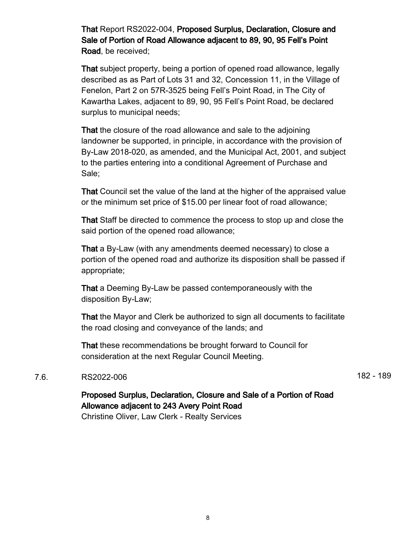That Report RS2022-004, Proposed Surplus, Declaration, Closure and Sale of Portion of Road Allowance adjacent to 89, 90, 95 Fell's Point Road, be received;

That subject property, being a portion of opened road allowance, legally described as as Part of Lots 31 and 32, Concession 11, in the Village of Fenelon, Part 2 on 57R-3525 being Fell's Point Road, in The City of Kawartha Lakes, adjacent to 89, 90, 95 Fell's Point Road, be declared surplus to municipal needs;

That the closure of the road allowance and sale to the adjoining landowner be supported, in principle, in accordance with the provision of By-Law 2018-020, as amended, and the Municipal Act, 2001, and subject to the parties entering into a conditional Agreement of Purchase and Sale;

That Council set the value of the land at the higher of the appraised value or the minimum set price of \$15.00 per linear foot of road allowance;

That Staff be directed to commence the process to stop up and close the said portion of the opened road allowance;

That a By-Law (with any amendments deemed necessary) to close a portion of the opened road and authorize its disposition shall be passed if appropriate;

That a Deeming By-Law be passed contemporaneously with the disposition By-Law;

That the Mayor and Clerk be authorized to sign all documents to facilitate the road closing and conveyance of the lands; and

That these recommendations be brought forward to Council for consideration at the next Regular Council Meeting.

#### 7.6. RS2022-006 **182 - 189**

## Proposed Surplus, Declaration, Closure and Sale of a Portion of Road Allowance adjacent to 243 Avery Point Road

Christine Oliver, Law Clerk - Realty Services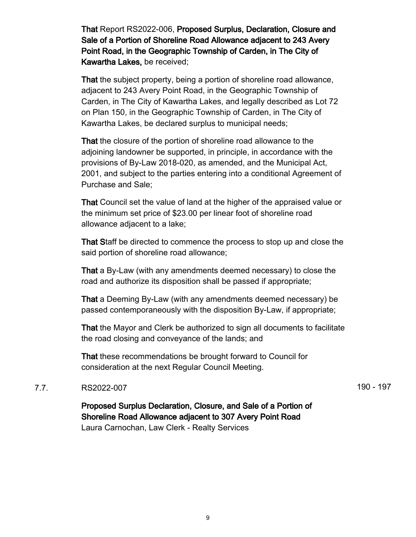That Report RS2022-006, Proposed Surplus, Declaration, Closure and Sale of a Portion of Shoreline Road Allowance adjacent to 243 Avery Point Road, in the Geographic Township of Carden, in The City of Kawartha Lakes, be received;

That the subject property, being a portion of shoreline road allowance, adjacent to 243 Avery Point Road, in the Geographic Township of Carden, in The City of Kawartha Lakes, and legally described as Lot 72 on Plan 150, in the Geographic Township of Carden, in The City of Kawartha Lakes, be declared surplus to municipal needs;

That the closure of the portion of shoreline road allowance to the adjoining landowner be supported, in principle, in accordance with the provisions of By-Law 2018-020, as amended, and the Municipal Act, 2001, and subject to the parties entering into a conditional Agreement of Purchase and Sale;

That Council set the value of land at the higher of the appraised value or the minimum set price of \$23.00 per linear foot of shoreline road allowance adjacent to a lake;

That Staff be directed to commence the process to stop up and close the said portion of shoreline road allowance;

That a By-Law (with any amendments deemed necessary) to close the road and authorize its disposition shall be passed if appropriate;

That a Deeming By-Law (with any amendments deemed necessary) be passed contemporaneously with the disposition By-Law, if appropriate;

That the Mayor and Clerk be authorized to sign all documents to facilitate the road closing and conveyance of the lands; and

That these recommendations be brought forward to Council for consideration at the next Regular Council Meeting.

#### 7.7. RS2022-007 **190 - 197**

Proposed Surplus Declaration, Closure, and Sale of a Portion of Shoreline Road Allowance adjacent to 307 Avery Point Road Laura Carnochan, Law Clerk - Realty Services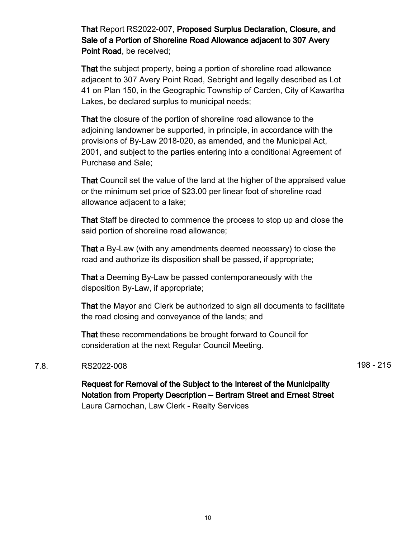That Report RS2022-007, Proposed Surplus Declaration, Closure, and Sale of a Portion of Shoreline Road Allowance adjacent to 307 Avery Point Road, be received;

That the subject property, being a portion of shoreline road allowance adjacent to 307 Avery Point Road, Sebright and legally described as Lot 41 on Plan 150, in the Geographic Township of Carden, City of Kawartha Lakes, be declared surplus to municipal needs;

That the closure of the portion of shoreline road allowance to the adjoining landowner be supported, in principle, in accordance with the provisions of By-Law 2018-020, as amended, and the Municipal Act, 2001, and subject to the parties entering into a conditional Agreement of Purchase and Sale;

That Council set the value of the land at the higher of the appraised value or the minimum set price of \$23.00 per linear foot of shoreline road allowance adjacent to a lake;

That Staff be directed to commence the process to stop up and close the said portion of shoreline road allowance;

That a By-Law (with any amendments deemed necessary) to close the road and authorize its disposition shall be passed, if appropriate;

That a Deeming By-Law be passed contemporaneously with the disposition By-Law, if appropriate;

That the Mayor and Clerk be authorized to sign all documents to facilitate the road closing and conveyance of the lands; and

That these recommendations be brought forward to Council for consideration at the next Regular Council Meeting.

#### 7.8. RS2022-008 215

Request for Removal of the Subject to the Interest of the Municipality Notation from Property Description – Bertram Street and Ernest Street Laura Carnochan, Law Clerk - Realty Services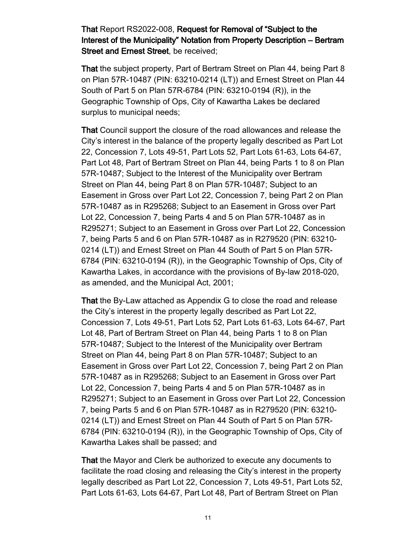That Report RS2022-008, Request for Removal of "Subject to the Interest of the Municipality" Notation from Property Description – Bertram Street and Ernest Street, be received;

That the subject property, Part of Bertram Street on Plan 44, being Part 8 on Plan 57R-10487 (PIN: 63210-0214 (LT)) and Ernest Street on Plan 44 South of Part 5 on Plan 57R-6784 (PIN: 63210-0194 (R)), in the Geographic Township of Ops, City of Kawartha Lakes be declared surplus to municipal needs;

That Council support the closure of the road allowances and release the City's interest in the balance of the property legally described as Part Lot 22, Concession 7, Lots 49-51, Part Lots 52, Part Lots 61-63, Lots 64-67, Part Lot 48, Part of Bertram Street on Plan 44, being Parts 1 to 8 on Plan 57R-10487; Subject to the Interest of the Municipality over Bertram Street on Plan 44, being Part 8 on Plan 57R-10487; Subject to an Easement in Gross over Part Lot 22, Concession 7, being Part 2 on Plan 57R-10487 as in R295268; Subject to an Easement in Gross over Part Lot 22, Concession 7, being Parts 4 and 5 on Plan 57R-10487 as in R295271; Subject to an Easement in Gross over Part Lot 22, Concession 7, being Parts 5 and 6 on Plan 57R-10487 as in R279520 (PIN: 63210- 0214 (LT)) and Ernest Street on Plan 44 South of Part 5 on Plan 57R-6784 (PIN: 63210-0194 (R)), in the Geographic Township of Ops, City of Kawartha Lakes, in accordance with the provisions of By-law 2018-020, as amended, and the Municipal Act, 2001;

That the By-Law attached as Appendix G to close the road and release the City's interest in the property legally described as Part Lot 22, Concession 7, Lots 49-51, Part Lots 52, Part Lots 61-63, Lots 64-67, Part Lot 48, Part of Bertram Street on Plan 44, being Parts 1 to 8 on Plan 57R-10487; Subject to the Interest of the Municipality over Bertram Street on Plan 44, being Part 8 on Plan 57R-10487; Subject to an Easement in Gross over Part Lot 22, Concession 7, being Part 2 on Plan 57R-10487 as in R295268; Subject to an Easement in Gross over Part Lot 22, Concession 7, being Parts 4 and 5 on Plan 57R-10487 as in R295271; Subject to an Easement in Gross over Part Lot 22, Concession 7, being Parts 5 and 6 on Plan 57R-10487 as in R279520 (PIN: 63210- 0214 (LT)) and Ernest Street on Plan 44 South of Part 5 on Plan 57R-6784 (PIN: 63210-0194 (R)), in the Geographic Township of Ops, City of Kawartha Lakes shall be passed; and

That the Mayor and Clerk be authorized to execute any documents to facilitate the road closing and releasing the City's interest in the property legally described as Part Lot 22, Concession 7, Lots 49-51, Part Lots 52, Part Lots 61-63, Lots 64-67, Part Lot 48, Part of Bertram Street on Plan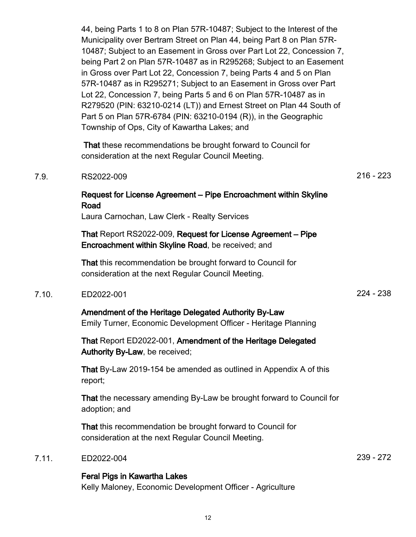44, being Parts 1 to 8 on Plan 57R-10487; Subject to the Interest of the Municipality over Bertram Street on Plan 44, being Part 8 on Plan 57R-10487; Subject to an Easement in Gross over Part Lot 22, Concession 7, being Part 2 on Plan 57R-10487 as in R295268; Subject to an Easement in Gross over Part Lot 22, Concession 7, being Parts 4 and 5 on Plan 57R-10487 as in R295271; Subject to an Easement in Gross over Part Lot 22, Concession 7, being Parts 5 and 6 on Plan 57R-10487 as in R279520 (PIN: 63210-0214 (LT)) and Ernest Street on Plan 44 South of Part 5 on Plan 57R-6784 (PIN: 63210-0194 (R)), in the Geographic Township of Ops, City of Kawartha Lakes; and

 That these recommendations be brought forward to Council for consideration at the next Regular Council Meeting.

#### 7.9. RS2022-009 216 - 223

### Request for License Agreement – Pipe Encroachment within Skyline Road

Laura Carnochan, Law Clerk - Realty Services

That Report RS2022-009, Request for License Agreement – Pipe Encroachment within Skyline Road, be received; and

That this recommendation be brought forward to Council for consideration at the next Regular Council Meeting.

#### 7.10. ED2022-001 224 - 238

## Amendment of the Heritage Delegated Authority By-Law

Emily Turner, Economic Development Officer - Heritage Planning

That Report ED2022-001, Amendment of the Heritage Delegated Authority By-Law, be received;

That By-Law 2019-154 be amended as outlined in Appendix A of this report;

That the necessary amending By-Law be brought forward to Council for adoption; and

That this recommendation be brought forward to Council for consideration at the next Regular Council Meeting.

#### 7.11. ED2022-004 239 - 272

#### Feral Pigs in Kawartha Lakes

Kelly Maloney, Economic Development Officer - Agriculture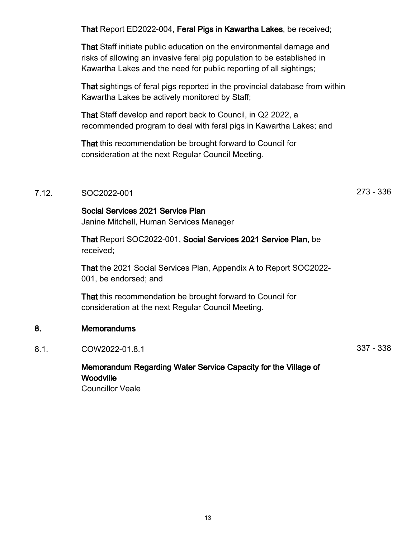That Report ED2022-004, Feral Pigs in Kawartha Lakes, be received;

That Staff initiate public education on the environmental damage and risks of allowing an invasive feral pig population to be established in Kawartha Lakes and the need for public reporting of all sightings;

That sightings of feral pigs reported in the provincial database from within Kawartha Lakes be actively monitored by Staff;

That Staff develop and report back to Council, in Q2 2022, a recommended program to deal with feral pigs in Kawartha Lakes; and

That this recommendation be brought forward to Council for consideration at the next Regular Council Meeting.

#### 7.12. SOC2022-001 273 - 336

Social Services 2021 Service Plan

Janine Mitchell, Human Services Manager

That Report SOC2022-001, Social Services 2021 Service Plan, be received;

That the 2021 Social Services Plan, Appendix A to Report SOC2022- 001, be endorsed; and

That this recommendation be brought forward to Council for consideration at the next Regular Council Meeting.

#### 8. Memorandums

8.1. COW2022-01.8.1 337 - 338

#### Memorandum Regarding Water Service Capacity for the Village of **Woodville** Councillor Veale